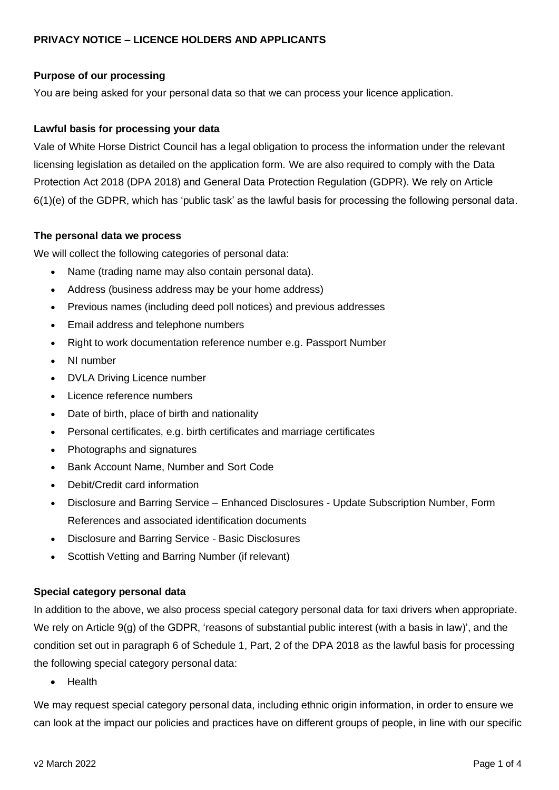### **Purpose of our processing**

You are being asked for your personal data so that we can process your licence application.

### **Lawful basis for processing your data**

Vale of White Horse District Council has a legal obligation to process the information under the relevant licensing legislation as detailed on the application form. We are also required to comply with the Data Protection Act 2018 (DPA 2018) and General Data Protection Regulation (GDPR). We rely on Article 6(1)(e) of the GDPR, which has 'public task' as the lawful basis for processing the following personal data.

#### **The personal data we process**

We will collect the following categories of personal data:

- Name (trading name may also contain personal data).
- Address (business address may be your home address)
- Previous names (including deed poll notices) and previous addresses
- Email address and telephone numbers
- Right to work documentation reference number e.g. Passport Number
- NI number
- DVLA Driving Licence number
- Licence reference numbers
- Date of birth, place of birth and nationality
- Personal certificates, e.g. birth certificates and marriage certificates
- Photographs and signatures
- Bank Account Name, Number and Sort Code
- Debit/Credit card information
- Disclosure and Barring Service Enhanced Disclosures Update Subscription Number, Form References and associated identification documents
- Disclosure and Barring Service Basic Disclosures
- Scottish Vetting and Barring Number (if relevant)

#### **Special category personal data**

In addition to the above, we also process special category personal data for taxi drivers when appropriate. We rely on Article 9(g) of the GDPR, 'reasons of substantial public interest (with a basis in law)', and the condition set out in paragraph 6 of Schedule 1, Part, 2 of the DPA 2018 as the lawful basis for processing the following special category personal data:

• Health

We may request special category personal data, including ethnic origin information, in order to ensure we can look at the impact our policies and practices have on different groups of people, in line with our specific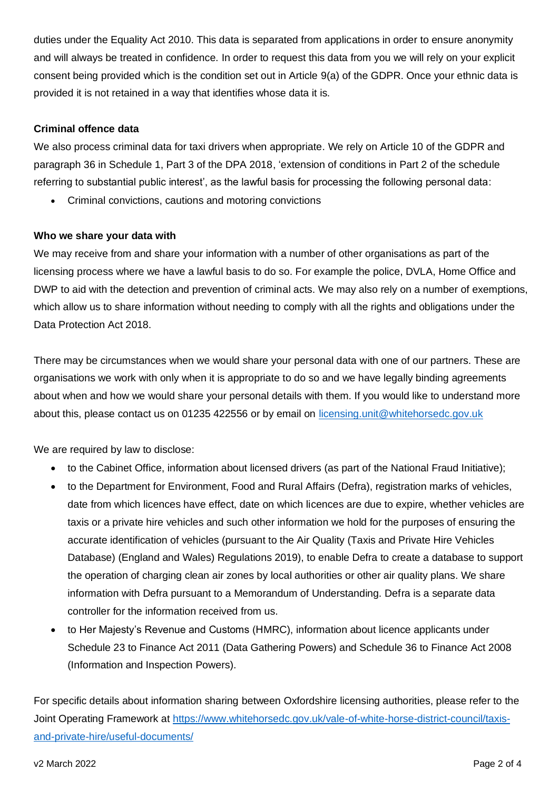duties under the Equality Act 2010. This data is separated from applications in order to ensure anonymity and will always be treated in confidence. In order to request this data from you we will rely on your explicit consent being provided which is the condition set out in Article 9(a) of the GDPR. Once your ethnic data is provided it is not retained in a way that identifies whose data it is.

#### **Criminal offence data**

We also process criminal data for taxi drivers when appropriate. We rely on Article 10 of the GDPR and paragraph 36 in Schedule 1, Part 3 of the DPA 2018, 'extension of conditions in Part 2 of the schedule referring to substantial public interest', as the lawful basis for processing the following personal data:

• Criminal convictions, cautions and motoring convictions

#### **Who we share your data with**

We may receive from and share your information with a number of other organisations as part of the licensing process where we have a lawful basis to do so. For example the police, DVLA, Home Office and DWP to aid with the detection and prevention of criminal acts. We may also rely on a number of exemptions, which allow us to share information without needing to comply with all the rights and obligations under the Data Protection Act 2018.

There may be circumstances when we would share your personal data with one of our partners. These are organisations we work with only when it is appropriate to do so and we have legally binding agreements about when and how we would share your personal details with them. If you would like to understand more about this, please contact us on 01235 422556 or by email on [licensing.unit@whitehorsedc.gov.uk](mailto:licensing.unit@whitehorsedc.gov.uk)

We are required by law to disclose:

- to the Cabinet Office, information about licensed drivers (as part of the National Fraud Initiative);
- to the Department for Environment, Food and Rural Affairs (Defra), registration marks of vehicles, date from which licences have effect, date on which licences are due to expire, whether vehicles are taxis or a private hire vehicles and such other information we hold for the purposes of ensuring the accurate identification of vehicles (pursuant to the Air Quality (Taxis and Private Hire Vehicles Database) (England and Wales) Regulations 2019), to enable Defra to create a database to support the operation of charging clean air zones by local authorities or other air quality plans. We share information with Defra pursuant to a Memorandum of Understanding. Defra is a separate data controller for the information received from us.
- to Her Majesty's Revenue and Customs (HMRC), information about licence applicants under Schedule 23 to Finance Act 2011 (Data Gathering Powers) and Schedule 36 to Finance Act 2008 (Information and Inspection Powers).

For specific details about information sharing between Oxfordshire licensing authorities, please refer to the Joint Operating Framework at [https://www.whitehorsedc.gov.uk/vale-of-white-horse-district-council/taxis](https://www.whitehorsedc.gov.uk/vale-of-white-horse-district-council/taxis-and-private-hire/useful-documents/)[and-private-hire/useful-documents/](https://www.whitehorsedc.gov.uk/vale-of-white-horse-district-council/taxis-and-private-hire/useful-documents/)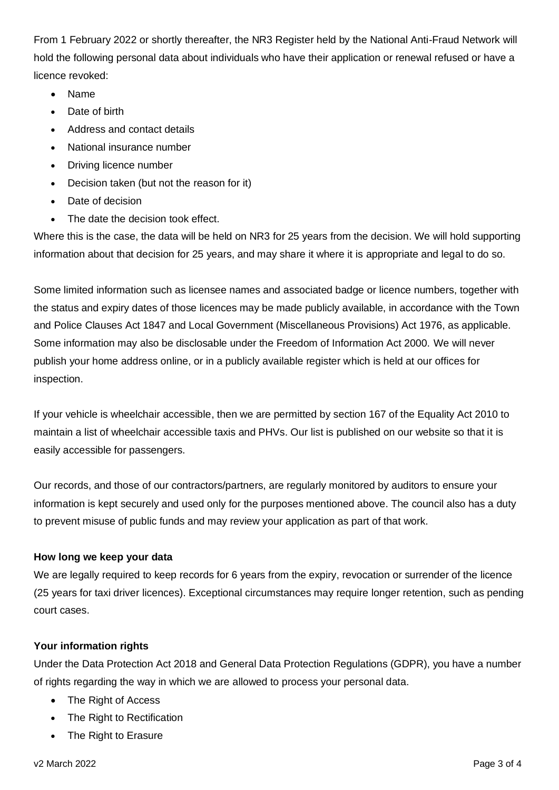From 1 February 2022 or shortly thereafter, the NR3 Register held by the National Anti-Fraud Network will hold the following personal data about individuals who have their application or renewal refused or have a licence revoked:

- Name
- Date of birth
- Address and contact details
- National insurance number
- Driving licence number
- Decision taken (but not the reason for it)
- Date of decision
- The date the decision took effect.

Where this is the case, the data will be held on NR3 for 25 years from the decision. We will hold supporting information about that decision for 25 years, and may share it where it is appropriate and legal to do so.

Some limited information such as licensee names and associated badge or licence numbers, together with the status and expiry dates of those licences may be made publicly available, in accordance with the Town and Police Clauses Act 1847 and Local Government (Miscellaneous Provisions) Act 1976, as applicable. Some information may also be disclosable under the Freedom of Information Act 2000. We will never publish your home address online, or in a publicly available register which is held at our offices for inspection.

If your vehicle is wheelchair accessible, then we are permitted by section 167 of the Equality Act 2010 to maintain a list of wheelchair accessible taxis and PHVs. Our list is published on our website so that it is easily accessible for passengers.

Our records, and those of our contractors/partners, are regularly monitored by auditors to ensure your information is kept securely and used only for the purposes mentioned above. The council also has a duty to prevent misuse of public funds and may review your application as part of that work.

# **How long we keep your data**

We are legally required to keep records for 6 years from the expiry, revocation or surrender of the licence (25 years for taxi driver licences). Exceptional circumstances may require longer retention, such as pending court cases.

# **Your information rights**

Under the Data Protection Act 2018 and General Data Protection Regulations (GDPR), you have a number of rights regarding the way in which we are allowed to process your personal data.

- The Right of Access
- The Right to Rectification
- The Right to Erasure